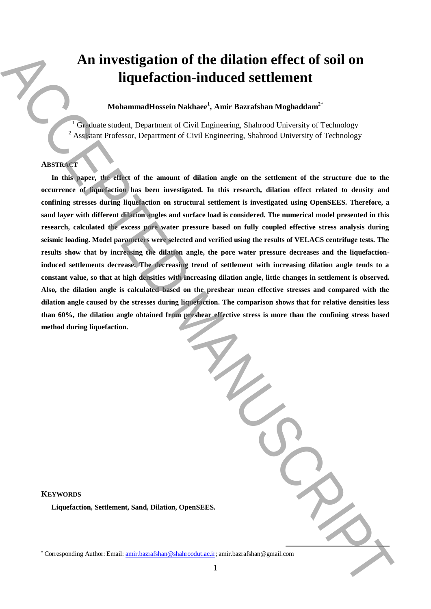# **An investigation of the dilation effect of soil on liquefaction-induced settlement**

**MohammadHossein Nakhaee<sup>1</sup> , Amir Bazrafshan Moghaddam<sup>2</sup>**\*

<sup>1</sup> Graduate student, Department of Civil Engineering, Shahrood University of Technology <sup>2</sup> Assistant Professor, Department of Civil Engineering, Shahrood University of Technology

# **ABSTRACT**

In this paper, the effect of the amount of dilation angle on the settlement of the structure due to the **occurrence of liquefaction has been investigated. In this research, dilation effect related to density and confining stresses during liquefaction on structural settlement is investigated using OpenSEES. Therefore, a sand layer with different dilation angles and surface load is considered. The numerical model presented in this research, calculated the excess pore water pressure based on fully coupled effective stress analysis during seismic loading. Model parameters were selected and verified using the results of VELACS centrifuge tests. The results show that by increasing the dilation angle, the pore water pressure decreases and the liquefactioninduced settlements decrease. The decreasing trend of settlement with increasing dilation angle tends to a constant value, so that at high densities with increasing dilation angle, little changes in settlement is observed. Also, the dilation angle is calculated based on the preshear mean effective stresses and compared with the dilation angle caused by the stresses during liquefaction. The comparison shows that for relative densities less than 60%, the dilation angle obtained from preshear effective stress is more than the confining stress based method during liquefaction. An investigation of the dilation effect of soil on <br>
Equivalent Schemer's Nature', Amir.Bazrafshan Naghadam<sup>2</sup><br>
Columnations is placed as Nature', amir.Bazrafsha, Naghadam<sup>2</sup><br>
Columnations is placed as the measure of dil** 

**KEYWORDS Liquefaction, Settlement, Sand, Dilation, OpenSEES.**

**.**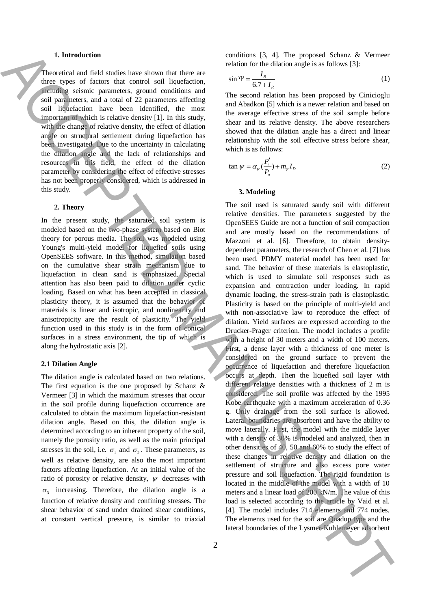## **1. Introduction**

Theoretical and field studies have shown that there are three types of factors that control soil liquefaction, including seismic parameters, ground conditions and soil parameters, and a total of 22 parameters affecting soil liquefaction have been identified, the most important of which is relative density [1]. In this study, with the change of relative density, the effect of dilation angle on structural settlement during liquefaction has been investigated. Due to the uncertainty in calculating the dilation angle and the lack of relationships and resources in this field, the effect of the dilation parameter by considering the effect of effective stresses has not been properly considered, which is addressed in this study.

### **2. Theory**

In the present study, the saturated soil system is modeled based on the two-phase system based on Biot theory for porous media. The soil was modeled using Young's multi-yield model for liquefied soils using OpenSEES software. In this method, simulation based on the cumulative shear strain mechanism due to liquefaction in clean sand is emphasized. Special attention has also been paid to dilation under cyclic loading. Based on what has been accepted in classical plasticity theory, it is assumed that the behavior of materials is linear and isotropic, and nonlinearity and anisotropicity are the result of plasticity. The yield function used in this study is in the form of conical surfaces in a stress environment, the tip of which is along the hydrostatic axis [2].

### **2.1 Dilation Angle**

The dilation angle is calculated based on two relations. The first equation is the one proposed by Schanz  $\&$ Vermeer [3] in which the maximum stresses that occur in the soil profile during liquefaction occurrence are calculated to obtain the maximum liquefaction-resistant dilation angle. Based on this, the dilation angle is determined according to an inherent property of the soil, namely the porosity ratio, as well as the main principal stresses in the soil, i.e.  $\sigma_1$  and  $\sigma_3$ . These parameters, as well as relative density, are also the most important factors affecting liquefaction. At an initial value of the ratio of porosity or relative density,  $\psi$  decreases with  $\sigma_3$  increasing. Therefore, the dilation angle is a function of relative density and confining stresses. The shear behavior of sand under drained shear conditions, at constant vertical pressure, is similar to triaxial

conditions [3, 4]. The proposed Schanz & Vermeer relation for the dilation angle is as follows [3]:

$$
\sin \Psi = \frac{I_R}{6.7 + I_R} \tag{1}
$$

The second relation has been proposed by Cinicioglu and Abadkon [5] which is a newer relation and based on the average effective stress of the soil sample before shear and its relative density. The above researchers showed that the dilation angle has a direct and linear relationship with the soil effective stress before shear, which is as follows:

$$
\tan \psi = \alpha_{\psi} \left( \frac{P_i'}{P_a} \right) + m_{\psi} I_D \tag{2}
$$

#### **3. Modeling**

The soil used is saturated sandy soil with different relative densities. The parameters suggested by the OpenSEES Guide are not a function of soil compaction and are mostly based on the recommendations of Mazzoni et al. [6]. Therefore, to obtain densitydependent parameters, the research of Chen et al. [7] has been used. PDMY material model has been used for sand. The behavior of these materials is elastoplastic, which is used to simulate soil responses such as expansion and contraction under loading. In rapid dynamic loading, the stress-strain path is elastoplastic. Plasticity is based on the principle of multi-yield and with non-associative law to reproduce the effect of dilation. Yield surfaces are expressed according to the Drucker-Prager criterion. The model includes a profile with a height of 30 meters and a width of 100 meters. First, a dense layer with a thickness of one meter is considered on the ground surface to prevent the occurrence of liquefaction and therefore liquefaction occurs at depth. Then the liquefied soil layer with different relative densities with a thickness of 2 m is considered. The soil profile was affected by the 1995 Kobe earthquake with a maximum acceleration of 0.36 g. Only drainage from the soil surface is allowed. Lateral boundaries are absorbent and have the ability to move laterally. First, the model with the middle layer with a density of 30% is modeled and analyzed, then in other densities of 40, 50 and 60% to study the effect of these changes in relative density and dilation on the settlement of structure and also excess pore water pressure and soil liquefaction. The rigid foundation is located in the middle of the model with a width of 10 meters and a linear load of 200 kN/m. The value of this load is selected according to the article by Vaid et al. [4]. The model includes 714 elements and 774 nodes. The elements used for the soil are Quadup type and the lateral boundaries of the Context of the Context of the Context of the Context of the Context of the Context of the Context of the Context of the Context of the Context of the Context of the Context of the Context of the